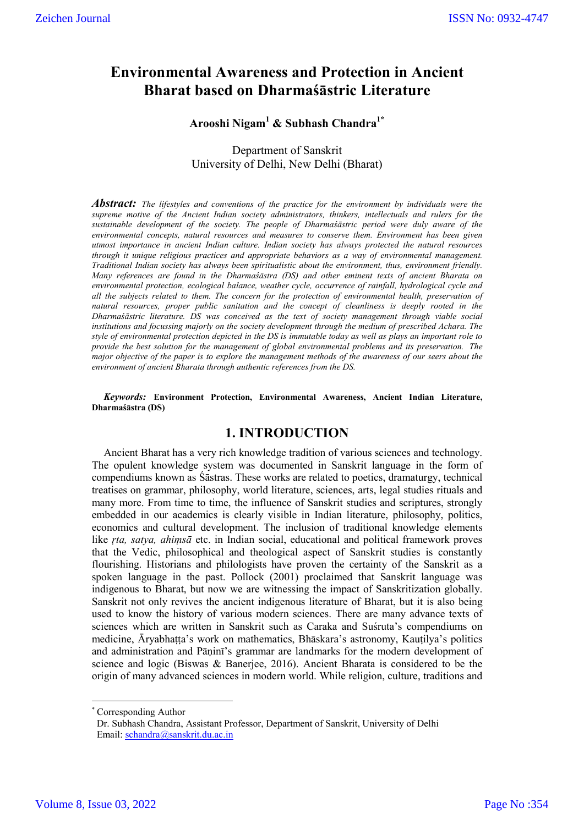# **Environmental Awareness and Protection in Ancient Bharat based on Dharmaśāstric Literature**

## **Arooshi Nigam1 & Subhash Chandra1\***

Department of Sanskrit University of Delhi, New Delhi (Bharat)

*Abstract: The lifestyles and conventions of the practice for the environment by individuals were the supreme motive of the Ancient Indian society administrators, thinkers, intellectuals and rulers for the sustainable development of the society. The people of Dharmaśāstric period were duly aware of the environmental concepts, natural resources and measures to conserve them. Environment has been given utmost importance in ancient Indian culture. Indian society has always protected the natural resources through it unique religious practices and appropriate behaviors as a way of environmental management. Traditional Indian society has always been spiritualistic about the environment, thus, environment friendly. Many references are found in the Dharmaśāstra (DS) and other eminent texts of ancient Bharata on environmental protection, ecological balance, weather cycle, occurrence of rainfall, hydrological cycle and all the subjects related to them. The concern for the protection of environmental health, preservation of natural resources, proper public sanitation and the concept of cleanliness is deeply rooted in the Dharmaśāstric literature. DS was conceived as the text of society management through viable social institutions and focussing majorly on the society development through the medium of prescribed Achara. The style of environmental protection depicted in the DS is immutable today as well as plays an important role to provide the best solution for the management of global environmental problems and its preservation. The major objective of the paper is to explore the management methods of the awareness of our seers about the environment of ancient Bharata through authentic references from the DS.*

*Keywords:* **Environment Protection, Environmental Awareness, Ancient Indian Literature, Dharmaśāstra (DS)**

### **1. INTRODUCTION**

Ancient Bharat has a very rich knowledge tradition of various sciences and technology. The opulent knowledge system was documented in Sanskrit language in the form of compendiums known as Śāstras. These works are related to poetics, dramaturgy, technical treatises on grammar, philosophy, world literature, sciences, arts, legal studies rituals and many more. From time to time, the influence of Sanskrit studies and scriptures, strongly embedded in our academics is clearly visible in Indian literature, philosophy, politics, economics and cultural development. The inclusion of traditional knowledge elements like *ṛta, satya, ahiṃsā* etc. in Indian social, educational and political framework proves that the Vedic, philosophical and theological aspect of Sanskrit studies is constantly flourishing. Historians and philologists have proven the certainty of the Sanskrit as a spoken language in the past. Pollock (2001) proclaimed that Sanskrit language was indigenous to Bharat, but now we are witnessing the impact of Sanskritization globally. Sanskrit not only revives the ancient indigenous literature of Bharat, but it is also being used to know the history of various modern sciences. There are many advance texts of sciences which are written in Sanskrit such as Caraka and Suśruta's compendiums on medicine, Āryabhaṭṭa's work on mathematics, Bhāskara's astronomy, Kauṭilya's politics and administration and Pāṇinī's grammar are landmarks for the modern development of science and logic (Biswas & Banerjee, 2016). Ancient Bharata is considered to be the origin of many advanced sciences in modern world. While religion, culture, traditions and

Corresponding Author

Dr. Subhash Chandra, Assistant Professor, Department of Sanskrit, University of Delhi Email: schandra@sanskrit.du.ac.in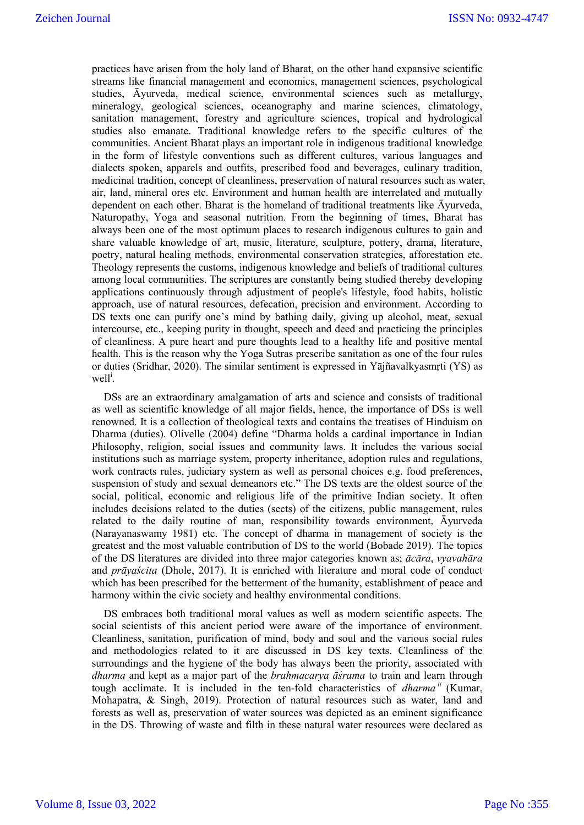practices have arisen from the holy land of Bharat, on the other hand expansive scientific streams like financial management and economics, management sciences, psychological studies, Āyurveda, medical science, environmental sciences such as metallurgy, mineralogy, geological sciences, oceanography and marine sciences, climatology, sanitation management, forestry and agriculture sciences, tropical and hydrological studies also emanate. Traditional knowledge refers to the specific cultures of the communities. Ancient Bharat plays an important role in indigenous traditional knowledge in the form of lifestyle conventions such as different cultures, various languages and dialects spoken, apparels and outfits, prescribed food and beverages, culinary tradition, medicinal tradition, concept of cleanliness, preservation of natural resources such as water, air, land, mineral ores etc. Environment and human health are interrelated and mutually dependent on each other. Bharat is the homeland of traditional treatments like Āyurveda, Naturopathy, Yoga and seasonal nutrition. From the beginning of times, Bharat has always been one of the most optimum places to research indigenous cultures to gain and share valuable knowledge of art, music, literature, sculpture, pottery, drama, literature, poetry, natural healing methods, environmental conservation strategies, afforestation etc. Theology represents the customs, indigenous knowledge and beliefs of traditional cultures among local communities. The scriptures are constantly being studied thereby developing applications continuously through adjustment of people's lifestyle, food habits, holistic approach, use of natural resources, defecation, precision and environment. According to DS texts one can purify one's mind by bathing daily, giving up alcohol, meat, sexual intercourse, etc., keeping purity in thought, speech and deed and practicing the principles of cleanliness. A pure heart and pure thoughts lead to a healthy life and positive mental health. This is the reason why the Yoga Sutras prescribe sanitation as one of the four rules or duties (Sridhar, 2020). The similar sentiment is expressed in Yājñavalkyasmṛti (YS) as well<sup>i</sup>.

DSs are an extraordinary amalgamation of arts and science and consists of traditional as well as scientific knowledge of all major fields, hence, the importance of DSs is well renowned. It is a collection of theological texts and contains the treatises of Hinduism on Dharma (duties). Olivelle (2004) define "Dharma holds a cardinal importance in Indian Philosophy, religion, social issues and community laws. It includes the various social institutions such as marriage system, property inheritance, adoption rules and regulations, work contracts rules, judiciary system as well as personal choices e.g. food preferences, suspension of study and sexual demeanors etc." The DS texts are the oldest source of the social, political, economic and religious life of the primitive Indian society. It often includes decisions related to the duties (sects) of the citizens, public management, rules related to the daily routine of man, responsibility towards environment, Āyurveda (Narayanaswamy 1981) etc. The concept of dharma in management of society is the greatest and the most valuable contribution of DS to the world (Bobade 2019). The topics of the DS literatures are divided into three major categories known as; *ācāra*, *vyavahāra* and *prāyaścita* (Dhole, 2017). It is enriched with literature and moral code of conduct which has been prescribed for the betterment of the humanity, establishment of peace and harmony within the civic society and healthy environmental conditions.

DS embraces both traditional moral values as well as modern scientific aspects. The social scientists of this ancient period were aware of the importance of environment. Cleanliness, sanitation, purification of mind, body and soul and the various social rules and methodologies related to it are discussed in DS key texts. Cleanliness of the surroundings and the hygiene of the body has always been the priority, associated with *dharma* and kept as a major part of the *brahmacarya āśrama* to train and learn through tough acclimate. It is included in the ten-fold characteristics of *dharma ii* (Kumar, Mohapatra, & Singh, 2019). Protection of natural resources such as water, land and forests as well as, preservation of water sources was depicted as an eminent significance in the DS. Throwing of waste and filth in these natural water resources were declared as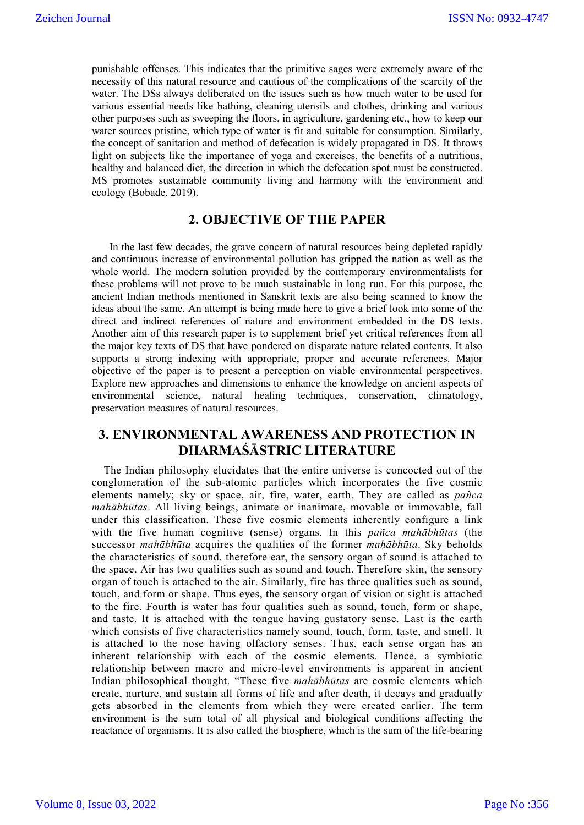punishable offenses. This indicates that the primitive sages were extremely aware of the necessity of this natural resource and cautious of the complications of the scarcity of the water. The DSs always deliberated on the issues such as how much water to be used for various essential needs like bathing, cleaning utensils and clothes, drinking and various other purposes such as sweeping the floors, in agriculture, gardening etc., how to keep our water sources pristine, which type of water is fit and suitable for consumption. Similarly, the concept of sanitation and method of defecation is widely propagated in DS. It throws light on subjects like the importance of yoga and exercises, the benefits of a nutritious, healthy and balanced diet, the direction in which the defecation spot must be constructed. MS promotes sustainable community living and harmony with the environment and ecology (Bobade, 2019).

## **2. OBJECTIVE OF THE PAPER**

In the last few decades, the grave concern of natural resources being depleted rapidly and continuous increase of environmental pollution has gripped the nation as well as the whole world. The modern solution provided by the contemporary environmentalists for these problems will not prove to be much sustainable in long run. For this purpose, the ancient Indian methods mentioned in Sanskrit texts are also being scanned to know the ideas about the same. An attempt is being made here to give a brief look into some of the direct and indirect references of nature and environment embedded in the DS texts. Another aim of this research paper is to supplement brief yet critical references from all the major key texts of DS that have pondered on disparate nature related contents. It also supports a strong indexing with appropriate, proper and accurate references. Major objective of the paper is to present a perception on viable environmental perspectives. Explore new approaches and dimensions to enhance the knowledge on ancient aspects of environmental science, natural healing techniques, conservation, climatology, preservation measures of natural resources.

## **3. ENVIRONMENTAL AWARENESS AND PROTECTION IN DHARMAŚĀSTRIC LITERATURE**

The Indian philosophy elucidates that the entire universe is concocted out of the conglomeration of the sub-atomic particles which incorporates the five cosmic elements namely; sky or space, air, fire, water, earth. They are called as *pañca mahābhūtas*. All living beings, animate or inanimate, movable or immovable, fall under this classification. These five cosmic elements inherently configure a link with the five human cognitive (sense) organs. In this *pañca mahābhūtas* (the successor *mahābhūta* acquires the qualities of the former *mahābhūta*. Sky beholds the characteristics of sound, therefore ear, the sensory organ of sound is attached to the space. Air has two qualities such as sound and touch. Therefore skin, the sensory organ of touch is attached to the air. Similarly, fire has three qualities such as sound, touch, and form or shape. Thus eyes, the sensory organ of vision or sight is attached to the fire. Fourth is water has four qualities such as sound, touch, form or shape, and taste. It is attached with the tongue having gustatory sense. Last is the earth which consists of five characteristics namely sound, touch, form, taste, and smell. It is attached to the nose having olfactory senses. Thus, each sense organ has an inherent relationship with each of the cosmic elements. Hence, a symbiotic relationship between macro and micro-level environments is apparent in ancient Indian philosophical thought. "These five *mahābhūtas* are cosmic elements which create, nurture, and sustain all forms of life and after death, it decays and gradually gets absorbed in the elements from which they were created earlier. The term environment is the sum total of all physical and biological conditions affecting the reactance of organisms. It is also called the biosphere, which is the sum of the life-bearing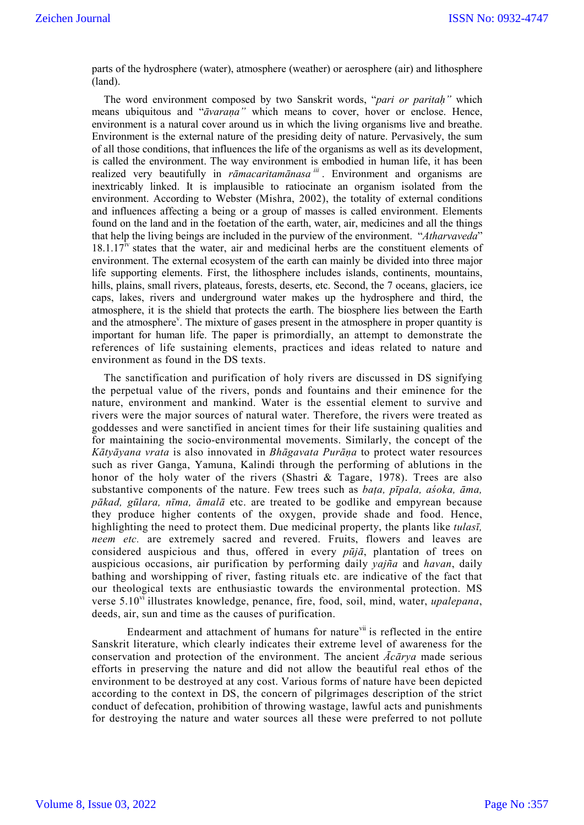parts of the hydrosphere (water), atmosphere (weather) or aerosphere (air) and lithosphere (land).

The word environment composed by two Sanskrit words, "*pari or paritaḥ"* which means ubiquitous and "*āvaraṇa"* which means to cover, hover or enclose. Hence, environment is a natural cover around us in which the living organisms live and breathe. Environment is the external nature of the presiding deity of nature. Pervasively, the sum of all those conditions, that influences the life of the organisms as well as its development, is called the environment. The way environment is embodied in human life, it has been realized very beautifully in *rāmacaritamānasa iii* . Environment and organisms are inextricably linked. It is implausible to ratiocinate an organism isolated from the environment. According to Webster (Mishra, 2002), the totality of external conditions and influences affecting a being or a group of masses is called environment. Elements found on the land and in the foetation of the earth, water, air, medicines and all the things that help the living beings are included in the purview of the environment. "*Atharvaveda*"  $18.1.17<sup>iv</sup>$  states that the water, air and medicinal herbs are the constituent elements of environment. The external ecosystem of the earth can mainly be divided into three major life supporting elements. First, the lithosphere includes islands, continents, mountains, hills, plains, small rivers, plateaus, forests, deserts, etc. Second, the 7 oceans, glaciers, ice caps, lakes, rivers and underground water makes up the hydrosphere and third, the atmosphere, it is the shield that protects the earth. The biosphere lies between the Earth and the atmosphere<sup>v</sup>. The mixture of gases present in the atmosphere in proper quantity is important for human life. The paper is primordially, an attempt to demonstrate the references of life sustaining elements, practices and ideas related to nature and environment as found in the DS texts.

The sanctification and purification of holy rivers are discussed in DS signifying the perpetual value of the rivers, ponds and fountains and their eminence for the nature, environment and mankind. Water is the essential element to survive and rivers were the major sources of natural water. Therefore, the rivers were treated as goddesses and were sanctified in ancient times for their life sustaining qualities and for maintaining the socio-environmental movements. Similarly, the concept of the *Kātyāyana vrata* is also innovated in *Bhāgavata Purāṇa* to protect water resources such as river Ganga, Yamuna, Kalindi through the performing of ablutions in the honor of the holy water of the rivers (Shastri & Tagare, 1978). Trees are also substantive components of the nature. Few trees such as *baṭa, pīpala, aśoka, āma, pākad, gūlara, nīma, āmalā* etc. are treated to be godlike and empyrean because they produce higher contents of the oxygen, provide shade and food. Hence, highlighting the need to protect them. Due medicinal property, the plants like *tulasī, neem etc.* are extremely sacred and revered. Fruits, flowers and leaves are considered auspicious and thus, offered in every *pūjā*, plantation of trees on auspicious occasions, air purification by performing daily *yajña* and *havan*, daily bathing and worshipping of river, fasting rituals etc. are indicative of the fact that our theological texts are enthusiastic towards the environmental protection. MS verse 5.10vi illustrates knowledge, penance, fire, food, soil, mind, water, *upalepana*, deeds, air, sun and time as the causes of purification.

Endearment and attachment of humans for nature $\theta$ <sup>ii</sup> is reflected in the entire Sanskrit literature, which clearly indicates their extreme level of awareness for the conservation and protection of the environment. The ancient *Ācārya* made serious efforts in preserving the nature and did not allow the beautiful real ethos of the environment to be destroyed at any cost. Various forms of nature have been depicted according to the context in DS, the concern of pilgrimages description of the strict conduct of defecation, prohibition of throwing wastage, lawful acts and punishments for destroying the nature and water sources all these were preferred to not pollute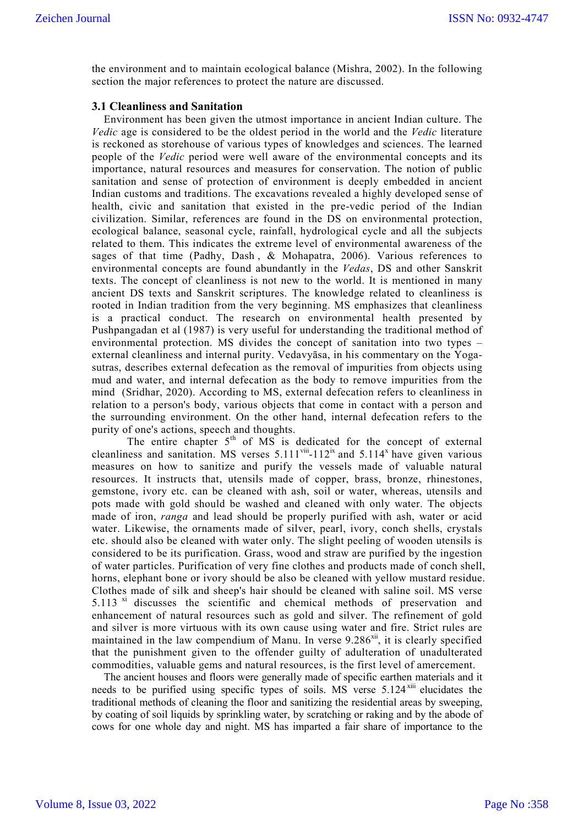the environment and to maintain ecological balance (Mishra, 2002). In the following section the major references to protect the nature are discussed.

#### **3.1 Cleanliness and Sanitation**

Environment has been given the utmost importance in ancient Indian culture. The *Vedic* age is considered to be the oldest period in the world and the *Vedic* literature is reckoned as storehouse of various types of knowledges and sciences. The learned people of the *Vedic* period were well aware of the environmental concepts and its importance, natural resources and measures for conservation. The notion of public sanitation and sense of protection of environment is deeply embedded in ancient Indian customs and traditions. The excavations revealed a highly developed sense of health, civic and sanitation that existed in the pre-vedic period of the Indian civilization. Similar, references are found in the DS on environmental protection, ecological balance, seasonal cycle, rainfall, hydrological cycle and all the subjects related to them. This indicates the extreme level of environmental awareness of the sages of that time (Padhy, Dash,  $\&$  Mohapatra, 2006). Various references to environmental concepts are found abundantly in the *Vedas*, DS and other Sanskrit texts. The concept of cleanliness is not new to the world. It is mentioned in many ancient DS texts and Sanskrit scriptures. The knowledge related to cleanliness is rooted in Indian tradition from the very beginning. MS emphasizes that cleanliness is a practical conduct. The research on environmental health presented by Pushpangadan et al (1987) is very useful for understanding the traditional method of environmental protection. MS divides the concept of sanitation into two types – external cleanliness and internal purity. Vedavyāsa, in his commentary on the Yogasutras, describes external defecation as the removal of impurities from objects using mud and water, and internal defecation as the body to remove impurities from the mind (Sridhar, 2020). According to MS, external defecation refers to cleanliness in relation to a person's body, various objects that come in contact with a person and the surrounding environment. On the other hand, internal defecation refers to the purity of one's actions, speech and thoughts.

The entire chapter  $5<sup>th</sup>$  of MS is dedicated for the concept of external cleanliness and sanitation. MS verses  $5.111^{viii}$ -112<sup>ix</sup> and  $5.114^x$  have given various measures on how to sanitize and purify the vessels made of valuable natural resources. It instructs that, utensils made of copper, brass, bronze, rhinestones, gemstone, ivory etc. can be cleaned with ash, soil or water, whereas, utensils and pots made with gold should be washed and cleaned with only water. The objects made of iron, *ranga* and lead should be properly purified with ash, water or acid water. Likewise, the ornaments made of silver, pearl, ivory, conch shells, crystals etc. should also be cleaned with water only. The slight peeling of wooden utensils is considered to be its purification. Grass, wood and straw are purified by the ingestion of water particles. Purification of very fine clothes and products made of conch shell, horns, elephant bone or ivory should be also be cleaned with yellow mustard residue. Clothes made of silk and sheep's hair should be cleaned with saline soil. MS verse 5.113 $^{\text{xi}}$  discusses the scientific and chemical methods of preservation and enhancement of natural resources such as gold and silver. The refinement of gold and silver is more virtuous with its own cause using water and fire. Strict rules are maintained in the law compendium of Manu. In verse  $9.286<sup>xi</sup>$ , it is clearly specified that the punishment given to the offender guilty of adulteration of unadulterated commodities, valuable gems and natural resources, is the first level of amercement.

The ancient houses and floors were generally made of specific earthen materials and it needs to be purified using specific types of soils. MS verse  $5.124$ <sup>xiii</sup> elucidates the traditional methods of cleaning the floor and sanitizing the residential areas by sweeping, by coating of soil liquids by sprinkling water, by scratching or raking and by the abode of cows for one whole day and night. MS has imparted a fair share of importance to the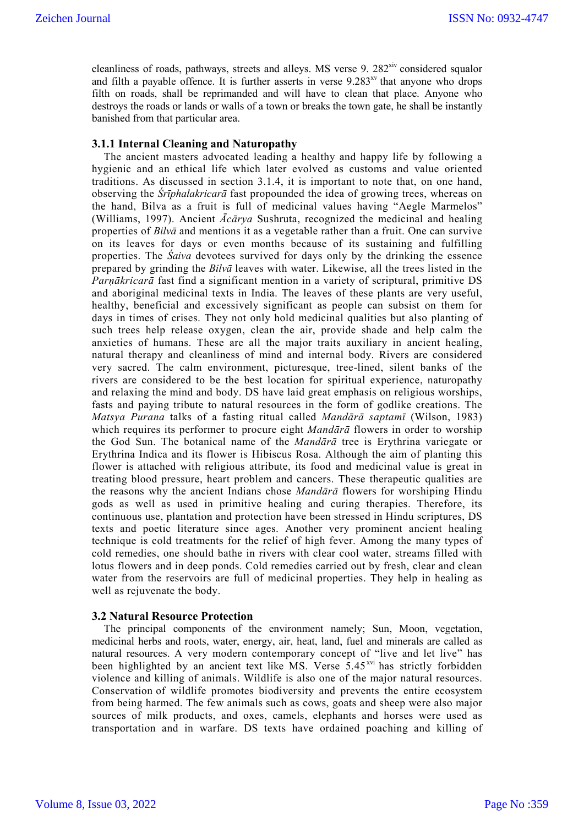cleanliness of roads, pathways, streets and alleys. MS verse 9.  $282<sup>xiv</sup>$  considered squalor and filth a payable offence. It is further asserts in verse  $9.283<sup>xy</sup>$  that anyone who drops filth on roads, shall be reprimanded and will have to clean that place. Anyone who destroys the roads or lands or walls of a town or breaks the town gate, he shall be instantly banished from that particular area.

#### **3.1.1 Internal Cleaning and Naturopathy**

The ancient masters advocated leading a healthy and happy life by following a hygienic and an ethical life which later evolved as customs and value oriented traditions. As discussed in section 3.1.4, it is important to note that, on one hand, observing the *Śrīphalakricarā* fast propounded the idea of growing trees, whereas on the hand, Bilva as a fruit is full of medicinal values having "Aegle Marmelos" (Williams, 1997). Ancient *Ācārya* Sushruta, recognized the medicinal and healing properties of *Bilvā* and mentions it as a vegetable rather than a fruit. One can survive on its leaves for days or even months because of its sustaining and fulfilling properties. The *Śaiva* devotees survived for days only by the drinking the essence prepared by grinding the *Bilvā* leaves with water. Likewise, all the trees listed in the *Parṇākricarā* fast find a significant mention in a variety of scriptural, primitive DS and aboriginal medicinal texts in India. The leaves of these plants are very useful, healthy, beneficial and excessively significant as people can subsist on them for days in times of crises. They not only hold medicinal qualities but also planting of such trees help release oxygen, clean the air, provide shade and help calm the anxieties of humans. These are all the major traits auxiliary in ancient healing, natural therapy and cleanliness of mind and internal body. Rivers are considered very sacred. The calm environment, picturesque, tree-lined, silent banks of the rivers are considered to be the best location for spiritual experience, naturopathy and relaxing the mind and body. DS have laid great emphasis on religious worships, fasts and paying tribute to natural resources in the form of godlike creations. The *Matsya Purana* talks of a fasting ritual called *Mandārā saptamī* (Wilson, 1983) which requires its performer to procure eight *Mandārā* flowers in order to worship the God Sun. The botanical name of the *Mandārā* tree is Erythrina variegate or Erythrina Indica and its flower is Hibiscus Rosa. Although the aim of planting this flower is attached with religious attribute, its food and medicinal value is great in treating blood pressure, heart problem and cancers. These therapeutic qualities are the reasons why the ancient Indians chose *Mandārā* flowers for worshiping Hindu gods as well as used in primitive healing and curing therapies. Therefore, its continuous use, plantation and protection have been stressed in Hindu scriptures, DS texts and poetic literature since ages. Another very prominent ancient healing technique is cold treatments for the relief of high fever. Among the many types of cold remedies, one should bathe in rivers with clear cool water, streams filled with lotus flowers and in deep ponds. Cold remedies carried out by fresh, clear and clean water from the reservoirs are full of medicinal properties. They help in healing as well as rejuvenate the body.

#### **3.2 Natural Resource Protection**

The principal components of the environment namely; Sun, Moon, vegetation, medicinal herbs and roots, water, energy, air, heat, land, fuel and minerals are called as natural resources. A very modern contemporary concept of "live and let live" has been highlighted by an ancient text like MS. Verse  $\frac{1}{5.45}$ <sup>xvi</sup> has strictly forbidden violence and killing of animals. Wildlife is also one of the major natural resources. Conservation of wildlife promotes biodiversity and prevents the entire ecosystem from being harmed. The few animals such as cows, goats and sheep were also major sources of milk products, and oxes, camels, elephants and horses were used as transportation and in warfare. DS texts have ordained poaching and killing of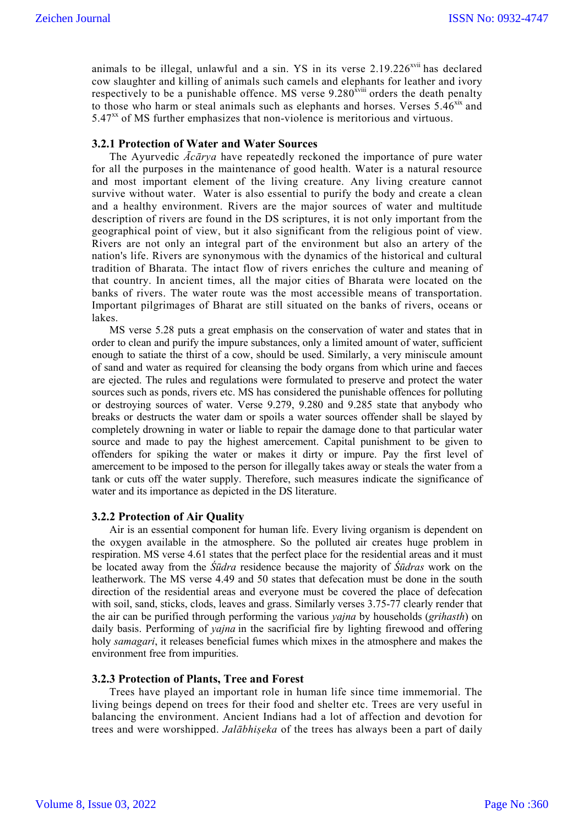animals to be illegal, unlawful and a sin.  $YS$  in its verse  $2.19.226<sup>2</sup>$  has declared cow slaughter and killing of animals such camels and elephants for leather and ivory respectively to be a punishable offence. MS verse  $9.280<sup>xviii</sup>$  orders the death penalty to those who harm or steal animals such as elephants and horses. Verses  $5.46^{x}$  and  $5.47<sup>xx</sup>$  of MS further emphasizes that non-violence is meritorious and virtuous.

#### **3.2.1 Protection of Water and Water Sources**

The Ayurvedic *Ācārya* have repeatedly reckoned the importance of pure water for all the purposes in the maintenance of good health. Water is a natural resource and most important element of the living creature. Any living creature cannot survive without water. Water is also essential to purify the body and create a clean and a healthy environment. Rivers are the major sources of water and multitude description of rivers are found in the DS scriptures, it is not only important from the geographical point of view, but it also significant from the religious point of view. Rivers are not only an integral part of the environment but also an artery of the nation's life. Rivers are synonymous with the dynamics of the historical and cultural tradition of Bharata. The intact flow of rivers enriches the culture and meaning of that country. In ancient times, all the major cities of Bharata were located on the banks of rivers. The water route was the most accessible means of transportation. Important pilgrimages of Bharat are still situated on the banks of rivers, oceans or lakes.

MS verse 5.28 puts a great emphasis on the conservation of water and states that in order to clean and purify the impure substances, only a limited amount of water, sufficient enough to satiate the thirst of a cow, should be used. Similarly, a very miniscule amount of sand and water as required for cleansing the body organs from which urine and faeces are ejected. The rules and regulations were formulated to preserve and protect the water sources such as ponds, rivers etc. MS has considered the punishable offences for polluting or destroying sources of water. Verse 9.279, 9.280 and 9.285 state that anybody who breaks or destructs the water dam or spoils a water sources offender shall be slayed by completely drowning in water or liable to repair the damage done to that particular water source and made to pay the highest amercement. Capital punishment to be given to offenders for spiking the water or makes it dirty or impure. Pay the first level of amercement to be imposed to the person for illegally takes away or steals the water from a tank or cuts off the water supply. Therefore, such measures indicate the significance of water and its importance as depicted in the DS literature.

#### **3.2.2 Protection of Air Quality**

Air is an essential component for human life. Every living organism is dependent on the oxygen available in the atmosphere. So the polluted air creates huge problem in respiration. MS verse 4.61 states that the perfect place for the residential areas and it must be located away from the *Śūdra* residence because the majority of *Śūdras* work on the leatherwork. The MS verse 4.49 and 50 states that defecation must be done in the south direction of the residential areas and everyone must be covered the place of defecation with soil, sand, sticks, clods, leaves and grass. Similarly verses 3.75-77 clearly render that the air can be purified through performing the various *yajna* by households (*grihasth*) on daily basis. Performing of *yajna* in the sacrificial fire by lighting firewood and offering holy *samagari*, it releases beneficial fumes which mixes in the atmosphere and makes the environment free from impurities.

#### **3.2.3 Protection of Plants, Tree and Forest**

Trees have played an important role in human life since time immemorial. The living beings depend on trees for their food and shelter etc. Trees are very useful in balancing the environment. Ancient Indians had a lot of affection and devotion for trees and were worshipped. *Jalābhiṣeka* of the trees has always been a part of daily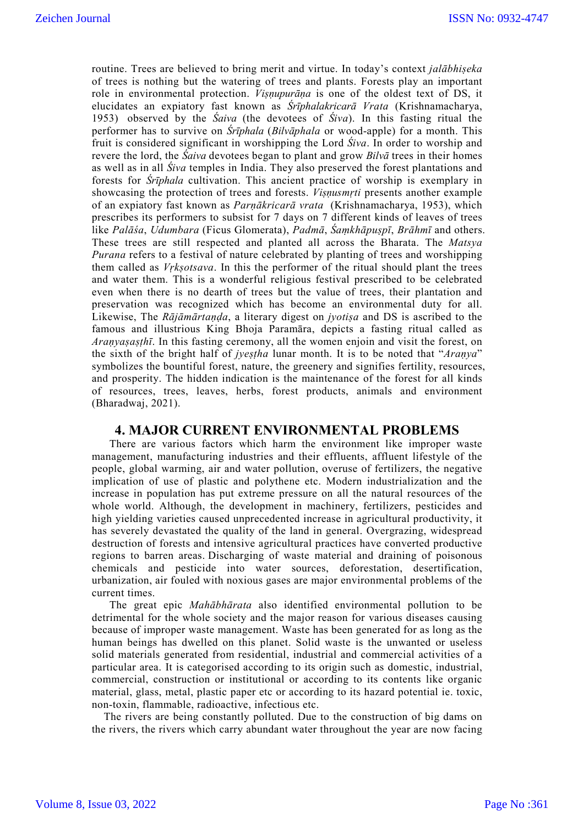routine. Trees are believed to bring merit and virtue. In today's context *jalābhiṣeka* of trees is nothing but the watering of trees and plants. Forests play an important role in environmental protection. *Viṣṇupurāṇa* is one of the oldest text of DS, it elucidates an expiatory fast known as *Śrīphalakricarā Vrata* (Krishnamacharya, 1953) observed by the *Śaiva* (the devotees of *Śiva*). In this fasting ritual the performer has to survive on *Śrīphala* (*Bilvāphala* or wood-apple) for a month. This fruit is considered significant in worshipping the Lord *Śiva*. In order to worship and revere the lord, the *Śaiva* devotees began to plant and grow *Bilvā* trees in their homes as well as in all *Śiva* temples in India. They also preserved the forest plantations and forests for *Śrīphala* cultivation. This ancient practice of worship is exemplary in showcasing the protection of trees and forests. *Viṣṇusmṛti* presents another example of an expiatory fast known as *Parṇākricarā vrata* (Krishnamacharya, 1953), which prescribes its performers to subsist for 7 days on 7 different kinds of leaves of trees like *Palāśa*, *Udumbara* (Ficus Glomerata), *Padmā*, *Śaṃkhāpuṣpī*, *Brāhmī* and others. These trees are still respected and planted all across the Bharata. The *Matsya Purana* refers to a festival of nature celebrated by planting of trees and worshipping them called as *Vṛkṣotsava*. In this the performer of the ritual should plant the trees and water them. This is a wonderful religious festival prescribed to be celebrated even when there is no dearth of trees but the value of trees, their plantation and preservation was recognized which has become an environmental duty for all. Likewise, The *Rājāmārtaṇḍa*, a literary digest on *jyotiṣa* and DS is ascribed to the famous and illustrious King Bhoja Paramāra, depicts a fasting ritual called as *Araṇyaṣaṣṭhī*. In this fasting ceremony, all the women enjoin and visit the forest, on the sixth of the bright half of *jyeṣṭha* lunar month. It is to be noted that "*Araṇya*" symbolizes the bountiful forest, nature, the greenery and signifies fertility, resources, and prosperity. The hidden indication is the maintenance of the forest for all kinds of resources, trees, leaves, herbs, forest products, animals and environment (Bharadwaj, 2021).

### **4. MAJOR CURRENT ENVIRONMENTAL PROBLEMS**

There are various factors which harm the environment like improper waste management, manufacturing industries and their effluents, affluent lifestyle of the people, global warming, air and water pollution, overuse of fertilizers, the negative implication of use of plastic and polythene etc. Modern industrialization and the increase in population has put extreme pressure on all the natural resources of the whole world. Although, the development in machinery, fertilizers, pesticides and high yielding varieties caused unprecedented increase in agricultural productivity, it has severely devastated the quality of the land in general. Overgrazing, widespread destruction of forests and intensive agricultural practices have converted productive regions to barren areas. Discharging of waste material and draining of poisonous chemicals and pesticide into water sources, deforestation, desertification, urbanization, air fouled with noxious gases are major environmental problems of the current times.

The great epic *Mahābhārata* also identified environmental pollution to be detrimental for the whole society and the major reason for various diseases causing because of improper waste management. Waste has been generated for as long as the human beings has dwelled on this planet. Solid waste is the unwanted or useless solid materials generated from residential, industrial and commercial activities of a particular area. It is categorised according to its origin such as domestic, industrial, commercial, construction or institutional or according to its contents like organic material, glass, metal, plastic paper etc or according to its hazard potential ie. toxic, non-toxin, flammable, radioactive, infectious etc.

The rivers are being constantly polluted. Due to the construction of big dams on the rivers, the rivers which carry abundant water throughout the year are now facing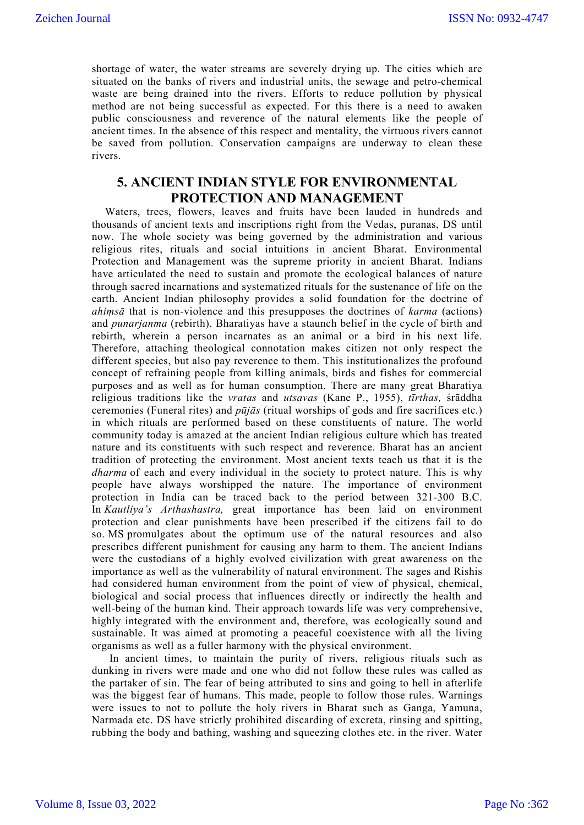shortage of water, the water streams are severely drying up. The cities which are situated on the banks of rivers and industrial units, the sewage and petro-chemical waste are being drained into the rivers. Efforts to reduce pollution by physical method are not being successful as expected. For this there is a need to awaken public consciousness and reverence of the natural elements like the people of ancient times. In the absence of this respect and mentality, the virtuous rivers cannot be saved from pollution. Conservation campaigns are underway to clean these rivers.

## **5. ANCIENT INDIAN STYLE FOR ENVIRONMENTAL PROTECTION AND MANAGEMENT**

Waters, trees, flowers, leaves and fruits have been lauded in hundreds and thousands of ancient texts and inscriptions right from the Vedas, puranas, DS until now. The whole society was being governed by the administration and various religious rites, rituals and social intuitions in ancient Bharat. Environmental Protection and Management was the supreme priority in ancient Bharat. Indians have articulated the need to sustain and promote the ecological balances of nature through sacred incarnations and systematized rituals for the sustenance of life on the earth. Ancient Indian philosophy provides a solid foundation for the doctrine of *ahiṃsā* that is non-violence and this presupposes the doctrines of *karma* (actions) and *punarjanma* (rebirth). Bharatiyas have a staunch belief in the cycle of birth and rebirth, wherein a person incarnates as an animal or a bird in his next life. Therefore, attaching theological connotation makes citizen not only respect the different species, but also pay reverence to them. This institutionalizes the profound concept of refraining people from killing animals, birds and fishes for commercial purposes and as well as for human consumption. There are many great Bharatiya religious traditions like the *vratas* and *utsavas* (Kane P., 1955), *tīrthas,* śrāddha ceremonies (Funeral rites) and *pūjās* (ritual worships of gods and fire sacrifices etc.) in which rituals are performed based on these constituents of nature. The world community today is amazed at the ancient Indian religious culture which has treated nature and its constituents with such respect and reverence. Bharat has an ancient tradition of protecting the environment. Most ancient texts teach us that it is the *dharma* of each and every individual in the society to protect nature. This is why people have always worshipped the nature. The importance of environment protection in India can be traced back to the period between 321-300 B.C. In *Kautliya's Arthashastra,* great importance has been laid on environment protection and clear punishments have been prescribed if the citizens fail to do so. MS promulgates about the optimum use of the natural resources and also prescribes different punishment for causing any harm to them. The ancient Indians were the custodians of a highly evolved civilization with great awareness on the importance as well as the vulnerability of natural environment. The sages and Rishis had considered human environment from the point of view of physical, chemical, biological and social process that influences directly or indirectly the health and well-being of the human kind. Their approach towards life was very comprehensive, highly integrated with the environment and, therefore, was ecologically sound and sustainable. It was aimed at promoting a peaceful coexistence with all the living organisms as well as a fuller harmony with the physical environment.

In ancient times, to maintain the purity of rivers, religious rituals such as dunking in rivers were made and one who did not follow these rules was called as the partaker of sin. The fear of being attributed to sins and going to hell in afterlife was the biggest fear of humans. This made, people to follow those rules. Warnings were issues to not to pollute the holy rivers in Bharat such as Ganga, Yamuna, Narmada etc. DS have strictly prohibited discarding of excreta, rinsing and spitting, rubbing the body and bathing, washing and squeezing clothes etc. in the river. Water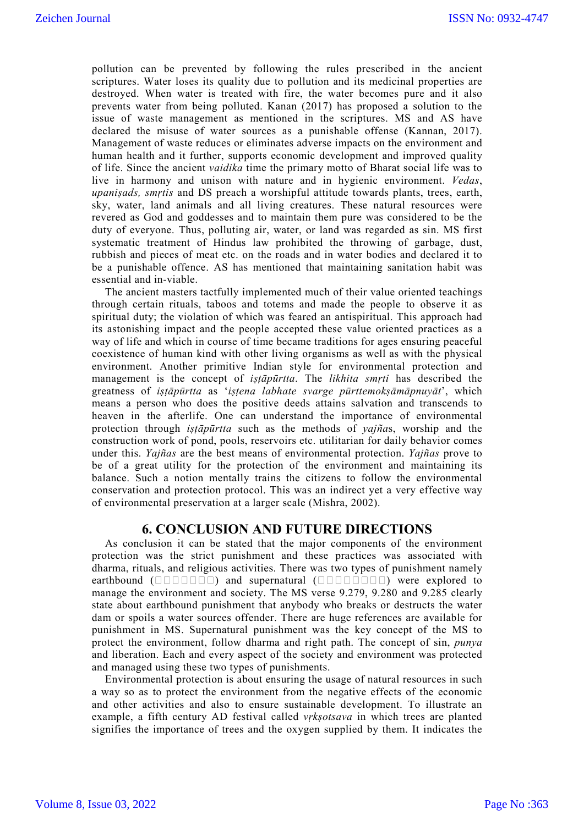pollution can be prevented by following the rules prescribed in the ancient scriptures. Water loses its quality due to pollution and its medicinal properties are destroyed. When water is treated with fire, the water becomes pure and it also prevents water from being polluted. Kanan (2017) has proposed a solution to the issue of waste management as mentioned in the scriptures. MS and AS have declared the misuse of water sources as a punishable offense (Kannan, 2017). Management of waste reduces or eliminates adverse impacts on the environment and human health and it further, supports economic development and improved quality of life. Since the ancient *vaidika* time the primary motto of Bharat social life was to live in harmony and unison with nature and in hygienic environment. *Vedas*, *upaniṣads, smṛtis* and DS preach a worshipful attitude towards plants, trees, earth, sky, water, land animals and all living creatures. These natural resources were revered as God and goddesses and to maintain them pure was considered to be the duty of everyone. Thus, polluting air, water, or land was regarded as sin. MS first systematic treatment of Hindus law prohibited the throwing of garbage, dust, rubbish and pieces of meat etc. on the roads and in water bodies and declared it to be a punishable offence. AS has mentioned that maintaining sanitation habit was essential and in-viable.

The ancient masters tactfully implemented much of their value oriented teachings through certain rituals, taboos and totems and made the people to observe it as spiritual duty; the violation of which was feared an antispiritual. This approach had its astonishing impact and the people accepted these value oriented practices as a way of life and which in course of time became traditions for ages ensuring peaceful coexistence of human kind with other living organisms as well as with the physical environment. Another primitive Indian style for environmental protection and management is the concept of *iṣṭāpūrtta*. The *likhita smṛti* has described the greatness of *iṣṭāpūrtta* as '*iṣṭena labhate svarge pūrttemokṣāmāpnuyāt*', which means a person who does the positive deeds attains salvation and transcends to heaven in the afterlife. One can understand the importance of environmental protection through *iṣṭāpūrtta* such as the methods of *yajña*s, worship and the construction work of pond, pools, reservoirs etc. utilitarian for daily behavior comes under this. *Yajñas* are the best means of environmental protection. *Yajñas* prove to be of a great utility for the protection of the environment and maintaining its balance. Such a notion mentally trains the citizens to follow the environmental conservation and protection protocol. This was an indirect yet a very effective way of environmental preservation at a larger scale (Mishra, 2002).

### **6. CONCLUSION AND FUTURE DIRECTIONS**

As conclusion it can be stated that the major components of the environment protection was the strict punishment and these practices was associated with dharma, rituals, and religious activities. There was two types of punishment namely earthbound  $(\square \square \square \square \square \square)$  and supernatural  $(\square \square \square \square \square \square)$  were explored to manage the environment and society. The MS verse 9.279, 9.280 and 9.285 clearly state about earthbound punishment that anybody who breaks or destructs the water dam or spoils a water sources offender. There are huge references are available for punishment in MS. Supernatural punishment was the key concept of the MS to protect the environment, follow dharma and right path. The concept of sin, *punya* and liberation. Each and every aspect of the society and environment was protected and managed using these two types of punishments.

Environmental protection is about ensuring the usage of natural resources in such a way so as to protect the environment from the negative effects of the economic and other activities and also to ensure sustainable development. To illustrate an example, a fifth century AD festival called *vṛkṣotsava* in which trees are planted signifies the importance of trees and the oxygen supplied by them. It indicates the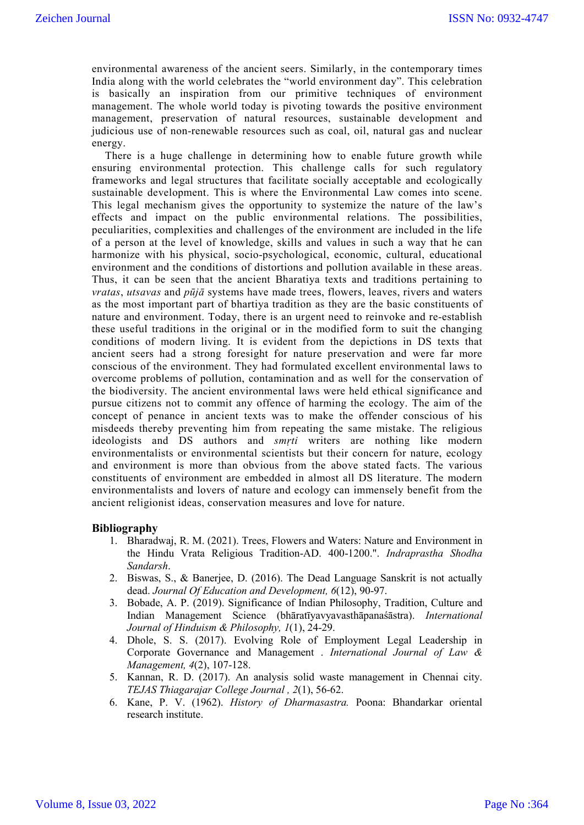environmental awareness of the ancient seers. Similarly, in the contemporary times India along with the world celebrates the "world environment day". This celebration is basically an inspiration from our primitive techniques of environment management. The whole world today is pivoting towards the positive environment management, preservation of natural resources, sustainable development and judicious use of non-renewable resources such as coal, oil, natural gas and nuclear energy.

There is a huge challenge in determining how to enable future growth while ensuring environmental protection. This challenge calls for such regulatory frameworks and legal structures that facilitate socially acceptable and ecologically sustainable development. This is where the Environmental Law comes into scene. This legal mechanism gives the opportunity to systemize the nature of the law's effects and impact on the public environmental relations. The possibilities, peculiarities, complexities and challenges of the environment are included in the life of a person at the level of knowledge, skills and values in such a way that he can harmonize with his physical, socio-psychological, economic, cultural, educational environment and the conditions of distortions and pollution available in these areas. Thus, it can be seen that the ancient Bharatiya texts and traditions pertaining to *vratas*, *utsavas* and *pūjā* systems have made trees, flowers, leaves, rivers and waters as the most important part of bhartiya tradition as they are the basic constituents of nature and environment. Today, there is an urgent need to reinvoke and re-establish these useful traditions in the original or in the modified form to suit the changing conditions of modern living. It is evident from the depictions in DS texts that ancient seers had a strong foresight for nature preservation and were far more conscious of the environment. They had formulated excellent environmental laws to overcome problems of pollution, contamination and as well for the conservation of the biodiversity. The ancient environmental laws were held ethical significance and pursue citizens not to commit any offence of harming the ecology. The aim of the concept of penance in ancient texts was to make the offender conscious of his misdeeds thereby preventing him from repeating the same mistake. The religious ideologists and DS authors and *smṛti* writers are nothing like modern environmentalists or environmental scientists but their concern for nature, ecology and environment is more than obvious from the above stated facts. The various constituents of environment are embedded in almost all DS literature. The modern environmentalists and lovers of nature and ecology can immensely benefit from the ancient religionist ideas, conservation measures and love for nature.

#### **Bibliography**

- 1. Bharadwaj, R. M. (2021). Trees, Flowers and Waters: Nature and Environment in the Hindu Vrata Religious Tradition-AD. 400-1200.". *Indraprastha Shodha Sandarsh*.
- 2. Biswas, S., & Banerjee, D. (2016). The Dead Language Sanskrit is not actually dead. *Journal Of Education and Development, 6*(12), 90-97.
- 3. Bobade, A. P. (2019). Significance of Indian Philosophy, Tradition, Culture and Indian Management Science (bhāratīyavyavasthāpanaśāstra). *International Journal of Hinduism & Philosophy, 1*(1), 24-29.
- 4. Dhole, S. S. (2017). Evolving Role of Employment Legal Leadership in Corporate Governance and Management . *International Journal of Law & Management, 4*(2), 107-128.
- 5. Kannan, R. D. (2017). An analysis solid waste management in Chennai city. *TEJAS Thiagarajar College Journal , 2*(1), 56-62.
- 6. Kane, P. V. (1962). *History of Dharmasastra.* Poona: Bhandarkar oriental research institute.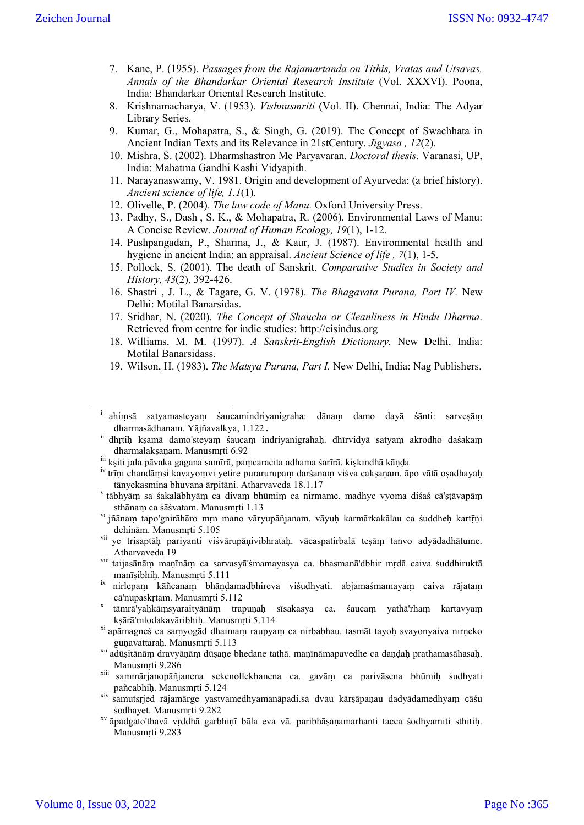- 7. Kane, P. (1955). *Passages from the Rajamartanda on Tithis, Vratas and Utsavas, Annals of the Bhandarkar Oriental Research Institute* (Vol. XXXVI). Poona, India: Bhandarkar Oriental Research Institute.
- 8. Krishnamacharya, V. (1953). *Vishnusmriti* (Vol. II). Chennai, India: The Adyar Library Series.
- 9. Kumar, G., Mohapatra, S., & Singh, G. (2019). The Concept of Swachhata in Ancient Indian Texts and its Relevance in 21stCentury. *Jigyasa , 12*(2).
- 10. Mishra, S. (2002). Dharmshastron Me Paryavaran. *Doctoral thesis*. Varanasi, UP, India: Mahatma Gandhi Kashi Vidyapith.
- 11. Narayanaswamy, V. 1981. Origin and development of Ayurveda: (a brief history). *Ancient science of life, 1.1*(1).
- 12. Olivelle, P. (2004). *The law code of Manu.* Oxford University Press.
- 13. Padhy, S., Dash , S. K., & Mohapatra, R. (2006). Environmental Laws of Manu: A Concise Review. *Journal of Human Ecology, 19*(1), 1-12.
- 14. Pushpangadan, P., Sharma, J., & Kaur, J. (1987). Environmental health and hygiene in ancient India: an appraisal. *Ancient Science of life , 7*(1), 1-5.
- 15. Pollock, S. (2001). The death of Sanskrit. *Comparative Studies in Society and History, 43*(2), 392-426.
- 16. Shastri , J. L., & Tagare, G. V. (1978). *The Bhagavata Purana, Part IV.* New Delhi: Motilal Banarsidas.
- 17. Sridhar, N. (2020). *The Concept of Shaucha or Cleanliness in Hindu Dharma*. Retrieved from centre for indic studies: http://cisindus.org
- 18. Williams, M. M. (1997). *A Sanskrit-English Dictionary.* New Delhi, India: Motilal Banarsidass.
- 19. Wilson, H. (1983). *The Matsya Purana, Part I.* New Delhi, India: Nag Publishers.

i ahiṃsā satyamasteyaṃ śaucamindriyanigraha: dānaṃ damo dayā śānti: sarveṣāṃ dharmasādhanam. Yājñavalkya, 1.122.

ii dhrtih kṣamā damo'steyaṃ śaucaṃ indriyanigrahaḥ. dhīrvidyā satyaṃ akrodho daśakaṃ dharmalakṣaṇam. Manusmṛti 6.92

 $^{\rm iii}$ kṣiti jala pāvaka gagana samīrā, paṃcaracita adhama śarīrā. kiṣkindhā kāṇḍa

iv trīṇi chandāṃsi kavayoṃvi yetire purarurupaṃ darśanaṃ viśva cakṣaṇam. āpo vātā oṣadhayaḥ tānyekasmina bhuvana ārpitāni. Atharvaveda 18.1.17<br><sup>v</sup> tābhyāṃ sa śakalābhyāṃ ca divaṃ bhūmiṃ ca nirmame. madhye vyoma diśaś cā'ṣṭāvapāṃ

sthānaṃ ca śāśvatam. Manusmṛti 1.13

vi jñānaṃ tapo'gnirāhāro mṛn mano vāryupāñjanam. vāyuḥ karmārkakālau ca śuddheḥ kartṛṇi dehinām. Manusmṛti 5.105

vii ye trisaptāḥ pariyanti viśvārupāṇivibhrataḥ. vācaspatirbalā teṣāṃ tanvo adyādadhātume. Atharvaveda 19

viii taijasānāṃ maṇīnāṃ ca sarvasyā'śmamayasya ca. bhasmanā'dbhir mṛdā caiva śuddhiruktā manīṣibhiḥ. Manusmṛti 5.111

ix nirlepaṃ kāñcanaṃ bhāṇḍamadbhireva viśudhyati. abjamaśmamayaṃ caiva rājataṃ cā'nupaskṛtam. Manusmṛti 5.112<br>tāmrā'yaḥkāṃsyaraityānāṃ trapuṇaḥ sīsakasya ca. śaucaṃ yathā'rhaṃ kartavyaṃ

kṣārā'mlodakavāribhiḥ. Manusmṛti 5.114

xi apāmagneś ca saṃyogād dhaimaṃ raupyaṃ ca nirbabhau. tasmāt tayoḥ svayonyaiva nirṇeko guṇavattaraḥ. Manusmṛti 5.113

xii adūṣitānāṃ dravyāṇāṃ dūṣaṇe bhedane tathā. maṇīnāmapavedhe ca daṇḍaḥ prathamasāhasaḥ. Manusmṛti 9.286

xiii sammārjanopāñjanena sekenollekhanena ca. gavāṃ ca parivāsena bhūmiḥ śudhyati pañcabhiḥ. Manusmṛti 5.124

xiv samutsṛjed rājamārge yastvamedhyamanāpadi.sa dvau kārṣāpaṇau dadyādamedhyaṃ cāśu

<sup>&</sup>lt;sup>xv</sup> āpadgato'thavā vrddhā garbhinī bāla eva vā. paribhāsanamarhanti tacca śodhyamiti sthitih. Manusmṛti 9.283